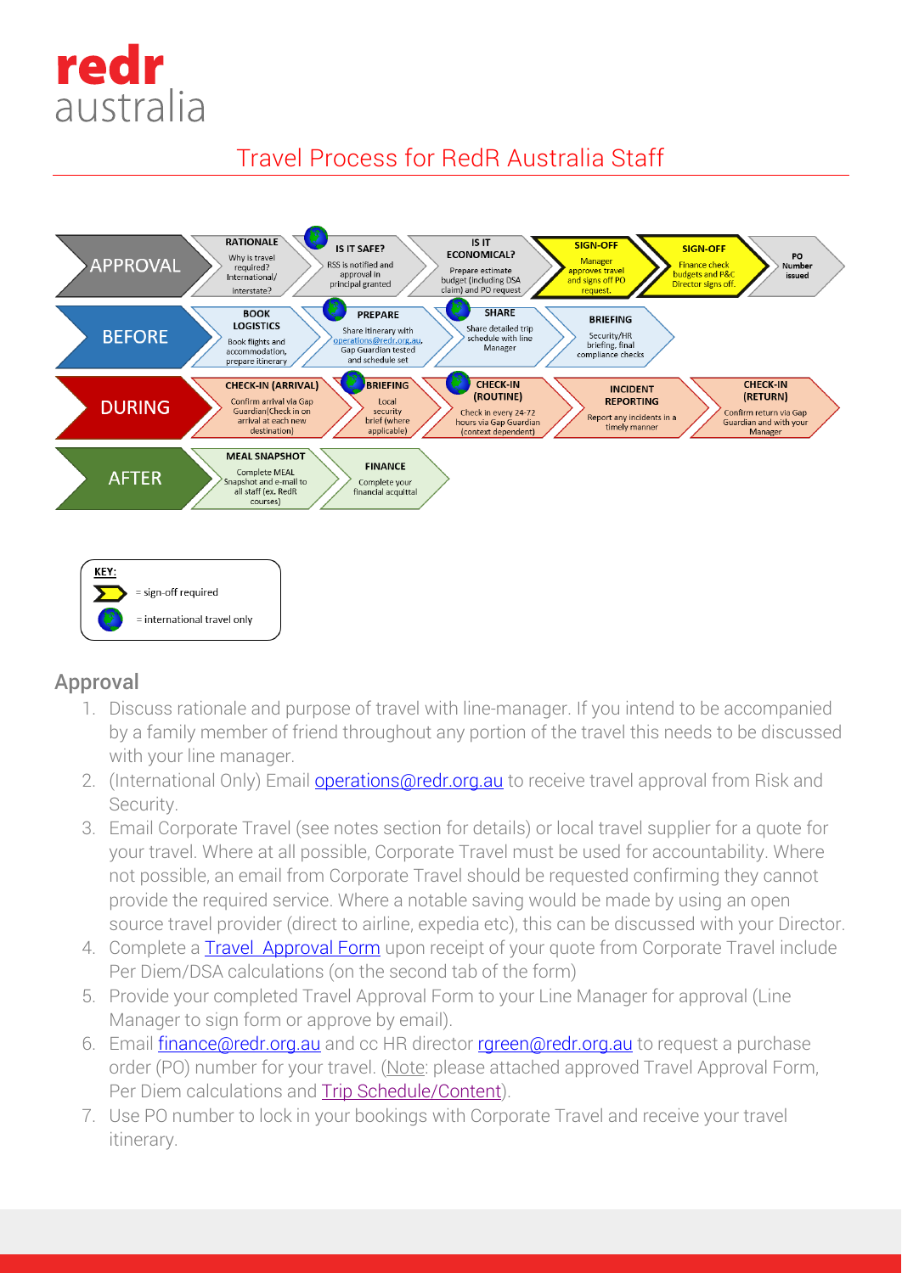

# Travel Process for RedR Australia Staff





## Approval

- 1. Discuss rationale and purpose of travel with line-manager. If you intend to be accompanied by a family member of friend throughout any portion of the travel this needs to be discussed with your line manager.
- 2. (International Only) Email **operations@redr.org.au** to receive travel approval from Risk and Security.
- 3. Email Corporate Travel (see notes section for details) or local travel supplier for a quote for your travel. Where at all possible, Corporate Travel must be used for accountability. Where not possible, an email from Corporate Travel should be requested confirming they cannot provide the required service. Where a notable saving would be made by using an open source travel provider (direct to airline, expedia etc), this can be discussed with your Director.
- 4. Complete a [Travel Approval Form](file://TBXBLUE.local/dfs-REDR$/REDR-FileData/S_Drive/RedR%20Common/.2%20Forms/200%20Finance/Travel%20Approval%20Form.xlsx) upon receipt of your quote from Corporate Travel include Per Diem/DSA calculations (on the second tab of the form)
- 5. Provide your completed Travel Approval Form to your Line Manager for approval (Line Manager to sign form or approve by email).
- 6. Email **finance@redr.org.au** and cc HR director rareen@redr.org.au to request a purchase order (PO) number for your travel. (Note: please attached approved Travel Approval Form, Per Diem calculations and [Trip Schedule/Content\)](file://TBXBLUE.local/dfs-REDR$/REDR-FileData/S_Drive/RedR%20Common/.2%20Forms/200%20Finance/Trip%20Schedule%20example.docx).
- 7. Use PO number to lock in your bookings with Corporate Travel and receive your travel itinerary.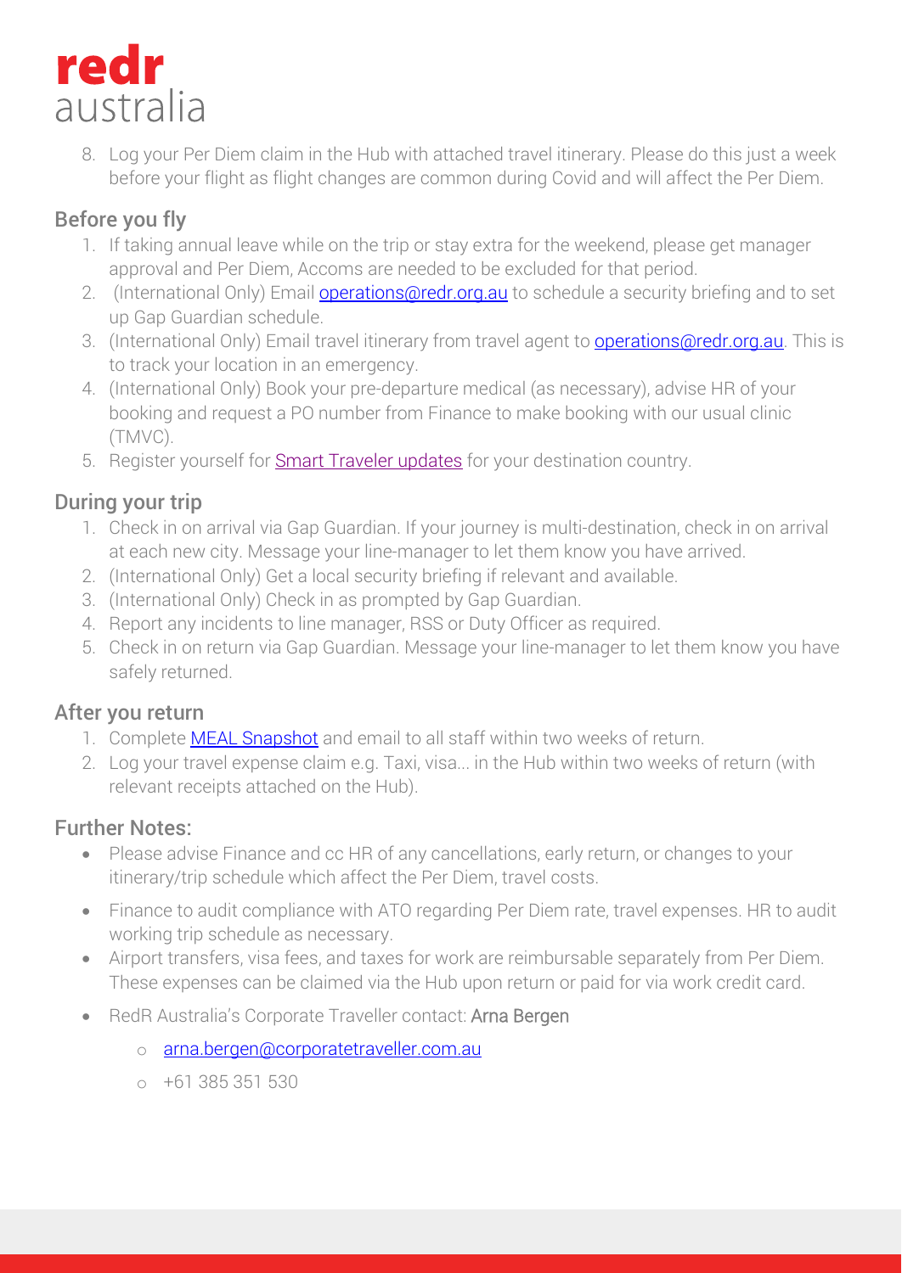

8. Log your Per Diem claim in the Hub with attached travel itinerary. Please do this just a week before your flight as flight changes are common during Covid and will affect the Per Diem.

## Before you fly

- 1. If taking annual leave while on the trip or stay extra for the weekend, please get manager approval and Per Diem, Accoms are needed to be excluded for that period.
- 2. (International Only) Email **operations@redr.org.au** to schedule a security briefing and to set up Gap Guardian schedule.
- 3. (International Only) Email travel itinerary from travel agent to **operations@redr.org.au**. This is to track your location in an emergency.
- 4. (International Only) Book your pre-departure medical (as necessary), advise HR of your booking and request a PO number from Finance to make booking with our usual clinic (TMVC).
- 5. Register yourself for **Smart Traveler updates** for your destination country.

### During your trip

- 1. Check in on arrival via Gap Guardian. If your journey is multi-destination, check in on arrival at each new city. Message your line-manager to let them know you have arrived.
- 2. (International Only) Get a local security briefing if relevant and available.
- 3. (International Only) Check in as prompted by Gap Guardian.
- 4. Report any incidents to line manager, RSS or Duty Officer as required.
- 5. Check in on return via Gap Guardian. Message your line-manager to let them know you have safely returned.

#### After you return

- 1. Complete **MEAL Snapshot** and email to all staff within two weeks of return.
- 2. Log your travel expense claim e.g. Taxi, visa... in the Hub within two weeks of return (with relevant receipts attached on the Hub).

#### Further Notes:

- Please advise Finance and cc HR of any cancellations, early return, or changes to your itinerary/trip schedule which affect the Per Diem, travel costs.
- Finance to audit compliance with ATO regarding Per Diem rate, travel expenses. HR to audit working trip schedule as necessary.
- Airport transfers, visa fees, and taxes for work are reimbursable separately from Per Diem. These expenses can be claimed via the Hub upon return or paid for via work credit card.
- RedR Australia's Corporate Traveller contact: Arna Bergen
	- o [arna.bergen@corporatetraveller.com.au](mailto:arna.bergen@corporatetraveller.com.au)
	- o +61 385 351 530